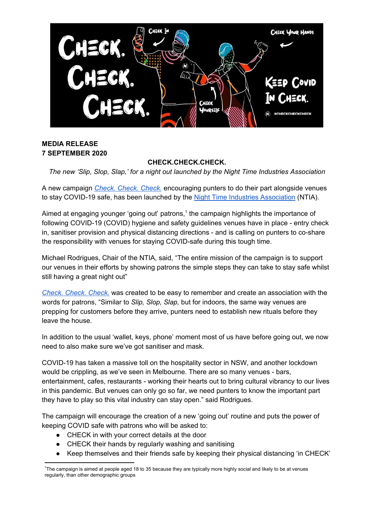

## **MEDIA RELEASE 7 SEPTEMBER 2020**

# **CHECK.CHECK.CHECK.**

*The new 'Slip, Slop, Slap,' for a night out launched by the Night Time Industries Association*

A new campaign *Check. [Check.](https://www.checkcheckcheck.org.au/) Check.* encouraging punters to do their part alongside venues to stay COVID-19 safe, has been launched by the Night Time Industries [Association](https://ntia.org.au/) (NTIA).

Aimed at engaging younger 'going out' patrons, $<sup>1</sup>$  the campaign highlights the importance of</sup> following COVID-19 (COVID) hygiene and safety guidelines venues have in place - entry check in, sanitiser provision and physical distancing directions - and is calling on punters to co-share the responsibility with venues for staying COVID-safe during this tough time.

Michael Rodrigues, Chair of the NTIA, said, "The entire mission of the campaign is to support our venues in their efforts by showing patrons the simple steps they can take to stay safe whilst still having a great night out"

*Check. [Check.](https://www.checkcheckcheck.org.au/) Check.* was created to be easy to remember and create an association with the words for patrons, "Similar to *Slip, Slop, Slap,* but for indoors, the same way venues are prepping for customers before they arrive, punters need to establish new rituals before they leave the house.

In addition to the usual 'wallet, keys, phone' moment most of us have before going out, we now need to also make sure we've got sanitiser and mask.

COVID-19 has taken a massive toll on the hospitality sector in NSW, and another lockdown would be crippling, as we've seen in Melbourne. There are so many venues - bars, entertainment, cafes, restaurants - working their hearts out to bring cultural vibrancy to our lives in this pandemic. But venues can only go so far, we need punters to know the important part they have to play so this vital industry can stay open." said Rodrigues.

The campaign will encourage the creation of a new 'going out' routine and puts the power of keeping COVID safe with patrons who will be asked to:

- **●** CHECK in with your correct details at the door
- **●** CHECK their hands by regularly washing and sanitising
- Keep themselves and their friends safe by keeping their physical distancing 'in CHECK'

<sup>&</sup>lt;sup>1</sup>The campaign is aimed at people aged 18 to 35 because they are typically more highly social and likely to be at venues regularly, than other demographic groups